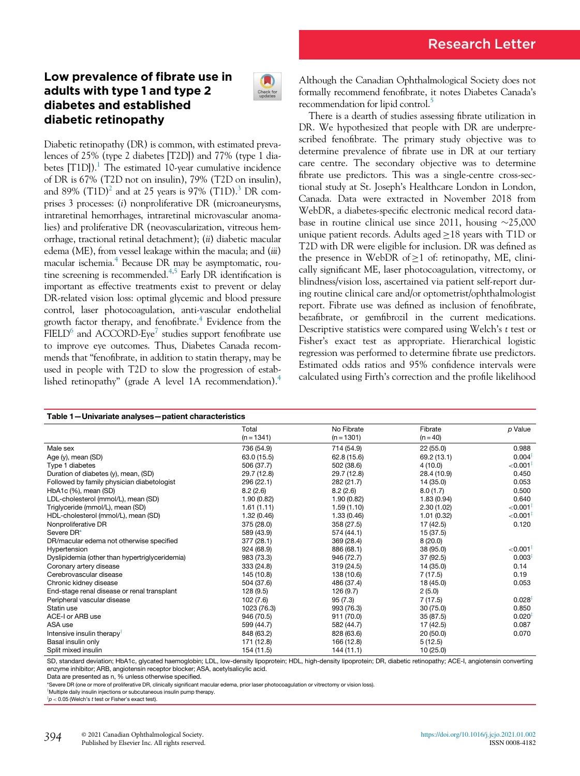## Low prevalence of fibrate use in adults with type 1 and type 2 diabetes and established diabetic retinopathy



Diabetic retinopathy (DR) is common, with estimated prevalences of 25% (type 2 diabetes [T2D]) and 77% (type 1 diabetes  $[T1D]$  $[T1D]$  $[T1D]$ ).<sup>1</sup> The estimated 10-year cumulative incidence of DR is 67% (T2D not on insulin), 79% (T2D on insulin), and 89%  $(T1D)^2$  $(T1D)^2$  and at 25 years is 97%  $(T1D)$ .<sup>[3](#page-1-2)</sup> DR comprises 3 processes: (i) nonproliferative DR (microaneurysms, intraretinal hemorrhages, intraretinal microvascular anomalies) and proliferative DR (neovascularization, vitreous hemorrhage, tractional retinal detachment); (ii) diabetic macular edema (ME), from vessel leakage within the macula; and (*iii*) macular ischemia.<sup>[4](#page-1-3)</sup> Because DR may be asymptomatic, rou-tine screening is recommended.<sup>4[,5](#page-1-4)</sup> Early DR identification is important as effective treatments exist to prevent or delay DR-related vision loss: optimal glycemic and blood pressure control, laser photocoagulation, anti-vascular endothelial growth factor therapy, and fenofibrate.<sup>[4](#page-1-3)</sup> Evidence from the  $FIED<sup>6</sup>$  and ACCORD-Eye<sup>7</sup> studies support fenofibrate use to improve eye outcomes. Thus, Diabetes Canada recommends that "fenofibrate, in addition to statin therapy, may be used in people with T2D to slow the progression of established retinopathy" (grade A level 1A recommendation)[.4](#page-1-3)

Although the Canadian Ophthalmological Society does not formally recommend fenofibrate, it notes Diabetes Canada's recommendation for lipid control.<sup>5</sup>

There is a dearth of studies assessing fibrate utilization in DR. We hypothesized that people with DR are underprescribed fenofibrate. The primary study objective was to determine prevalence of fibrate use in DR at our tertiary care centre. The secondary objective was to determine fibrate use predictors. This was a single-centre cross-sectional study at St. Joseph's Healthcare London in London, Canada. Data were extracted in November 2018 from WebDR, a diabetes-specific electronic medical record database in routine clinical use since 2011, housing  $\sim$ 25,000 unique patient records. Adults aged  $\geq$  18 years with T1D or T2D with DR were eligible for inclusion. DR was defined as the presence in WebDR of  $\geq 1$  of: retinopathy, ME, clinically significant ME, laser photocoagulation, vitrectomy, or blindness/vision loss, ascertained via patient self-report during routine clinical care and/or optometrist/ophthalmologist report. Fibrate use was defined as inclusion of fenofibrate, bezafibrate, or gemfibrozil in the current medications. Descriptive statistics were compared using Welch's t test or Fisher's exact test as appropriate. Hierarchical logistic regression was performed to determine fibrate use predictors. Estimated odds ratios and 95% confidence intervals were calculated using Firth's correction and the profile likelihood

<span id="page-0-2"></span>

| Table 1-Univariate analyses-patient characteristics |              |              |             |                         |
|-----------------------------------------------------|--------------|--------------|-------------|-------------------------|
|                                                     | Total        | No Fibrate   | Fibrate     | p Value                 |
|                                                     | $(n = 1341)$ | $(n = 1301)$ | $(n = 40)$  |                         |
| Male sex                                            | 736 (54.9)   | 714 (54.9)   | 22(55.0)    | 0.988                   |
| Age $(y)$ , mean $(SD)$                             | 63.0 (15.5)  | 62.8 (15.6)  | 69.2 (13.1) | $0.004*$                |
| Type 1 diabetes                                     | 506 (37.7)   | 502 (38.6)   | 4(10.0)     | $<$ 0.001 $^{\ddagger}$ |
| Duration of diabetes (y), mean, (SD)                | 29.7 (12.8)  | 29.7 (12.8)  | 28.4 (10.9) | 0.450                   |
| Followed by family physician diabetologist          | 296 (22.1)   | 282 (21.7)   | 14 (35.0)   | 0.053                   |
| HbA1c (%), mean (SD)                                | 8.2(2.6)     | 8.2(2.6)     | 8.0(1.7)    | 0.500                   |
| LDL-cholesterol (mmol/L), mean (SD)                 | 1.90(0.82)   | 1.90(0.82)   | 1.83(0.94)  | 0.640                   |
| Triglyceride (mmol/L), mean (SD)                    | 1.61(1.11)   | 1.59(1.10)   | 2.30(1.02)  | ${<}0.001$ <sup>‡</sup> |
| HDL-cholesterol (mmol/L), mean (SD)                 | 1.32(0.46)   | 1.33(0.46)   | 1.01(0.32)  | ${<}0.001$ <sup>#</sup> |
| Nonproliferative DR                                 | 375 (28.0)   | 358 (27.5)   | 17 (42.5)   | 0.120                   |
| Severe DR*                                          | 589 (43.9)   | 574 (44.1)   | 15 (37.5)   |                         |
| DR/macular edema not otherwise specified            | 377 (28.1)   | 369 (28.4)   | 8(20.0)     |                         |
| Hypertension                                        | 924 (68.9)   | 886 (68.1)   | 38 (95.0)   | ${<}0.001$ <sup>‡</sup> |
| Dyslipidemia (other than hypertriglyceridemia)      | 983 (73.3)   | 946 (72.7)   | 37(92.5)    | $0.003$ <sup>+</sup>    |
| Coronary artery disease                             | 333 (24.8)   | 319 (24.5)   | 14 (35.0)   | 0.14                    |
| Cerebrovascular disease                             | 145 (10.8)   | 138 (10.6)   | 7(17.5)     | 0.19                    |
| Chronic kidney disease                              | 504 (37.6)   | 486 (37.4)   | 18 (45.0)   | 0.053                   |
| End-stage renal disease or renal transplant         | 128(9.5)     | 126(9.7)     | 2(5.0)      |                         |
| Peripheral vascular disease                         | 102 (7.6)    | 95(7.3)      | 7 (17.5)    | 0.028                   |
| Statin use                                          | 1023 (76.3)  | 993 (76.3)   | 30(75.0)    | 0.850                   |
| ACE-I or ARB use                                    | 946 (70.5)   | 911 (70.0)   | 35(87.5)    | $0.020$ <sup>‡</sup>    |
| ASA use                                             | 599 (44.7)   | 582 (44.7)   | 17 (42.5)   | 0.087                   |
| Intensive insulin therapy <sup>1</sup>              | 848 (63.2)   | 828 (63.6)   | 20(50.0)    | 0.070                   |
| Basal insulin only                                  | 171 (12.8)   | 166 (12.8)   | 5(12.5)     |                         |
| Split mixed insulin                                 | 154 (11.5)   | 144 (11.1)   | 10(25.0)    |                         |

SD, standard deviation; HbA1c, glycated haemoglobin; LDL, low-density lipoprotein; HDL, high-density lipoprotein; DR, diabetic retinopathy; ACE-I, angiotensin converting enzyme inhibitor; ARB, angiotensin receptor blocker; ASA, acetylsalicylic acid.

Data are presented as n, % unless otherwise specified.

<span id="page-0-1"></span>\*Severe DR (one or more of proliferative DR, clinically significant macular edema, prior laser photocoagulation or vitrectomy or vision loss).

<span id="page-0-0"></span><sup>†</sup>Multiple daily insulin injections or subcutaneous insulin pump therapy.

 $p$   $<$  0.05 (Welch's  $t$  test or Fisher's exact test).